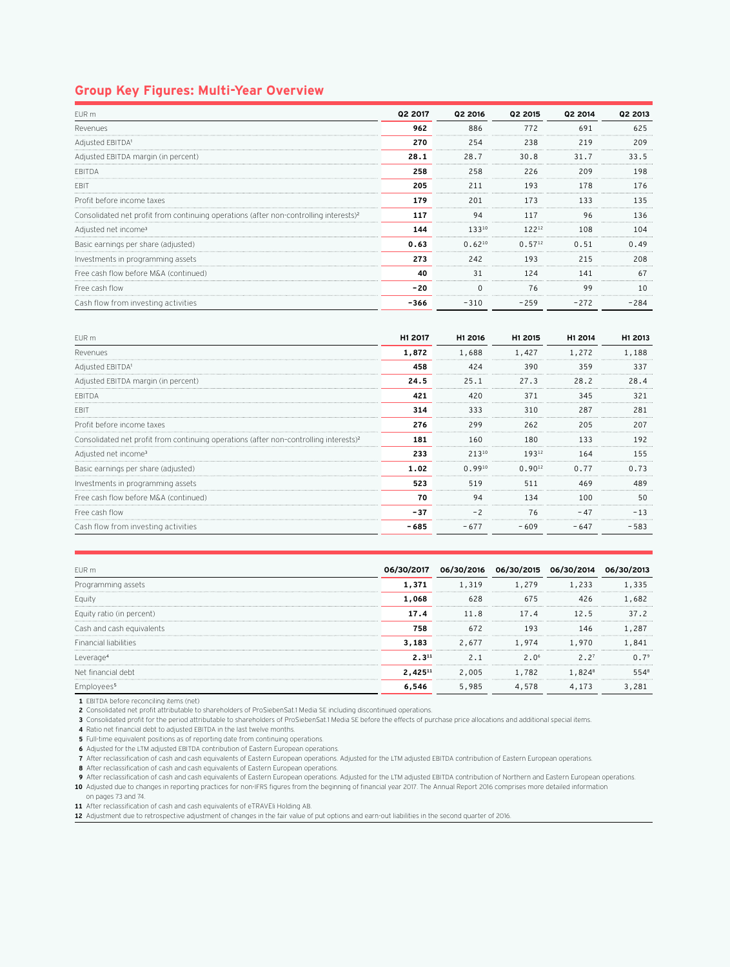## **Group Key Figures: Multi-Year Overview**

| FUR <sub>m</sub>                                                                                  | Q2 2017 | Q2 2016     | Q <sub>2</sub> 2015 | 02 2014 | 02 2013                         |
|---------------------------------------------------------------------------------------------------|---------|-------------|---------------------|---------|---------------------------------|
| Revenues                                                                                          | 962     | 886         | 772                 | 691     | 625                             |
| Adjusted EBITDA <sup>1</sup>                                                                      | 270     | .<br>254    | 238                 | 219     | 209                             |
| Adjusted EBITDA margin (in percent)                                                               | 28.1    | 28.7        | 30.8                | 31.7    | 33.5                            |
| FRITDA                                                                                            | 258     | 258         | 226                 | 209     | 9۶ ا                            |
| EBI <sup>-</sup>                                                                                  | 205     | 211         | 193                 | 178     |                                 |
| Profit before income taxes                                                                        | 179     | 201         | 173                 | 133     | 135                             |
| Consolidated net profit from continuing operations (after non-controlling interests) <sup>2</sup> | 117     | 94          | 117                 | 96      |                                 |
| Adjusted net income <sup>3</sup>                                                                  | 144     | 13310       | 12212               | 108     | 1 N 4                           |
| Basic earnings per share (adjusted)                                                               | 0.63    | $0.62^{10}$ | $0.57^{12}$         | 0.51    | 24.49                           |
| Investments in programming assets                                                                 | 273     | 242         | <br>193             | <br>215 | 208                             |
| Free cash flow before M&A (continued)                                                             | 40      | 31          | 124                 | 141     |                                 |
| Free cash flow                                                                                    | $-20$   | $\Omega$    | 76                  | 99      | ------------------------------- |
| Cash flow from investing activities                                                               | $-366$  | $-310$      | $-259$              | $-272$  | $-284$                          |

| FUR <sub>m</sub>                                                                                  | H1 2017 | H1 2016     | H1 2015        | H1 2014 | H1 2013 |
|---------------------------------------------------------------------------------------------------|---------|-------------|----------------|---------|---------|
| Revenues                                                                                          | 1,872   | 1,688       | 1,427          | 1,272   | 188     |
| Adjusted EBITDA <sup>1</sup>                                                                      | 458     | 424         | 390            | 359     | 337     |
| Adjusted EBITDA margin (in percent)                                                               | 24.5    | 25.1        | 27.3           | 28.2    | 28.4    |
| FBITDA                                                                                            | 421     | 420         | 371            | 345     |         |
| EBI1                                                                                              | 314     | 333         | 310            | 287     | 281     |
| Profit before income taxes                                                                        | 276     | 299         | <b></b><br>262 | 205     |         |
| Consolidated net profit from continuing operations (after non-controlling interests) <sup>2</sup> | 181     | 160         | 180            |         | 192     |
| Adjusted net income <sup>3</sup>                                                                  | 233     | 21310       | 19312          | 164     | 155     |
| Basic earnings per share (adjusted)                                                               | 1.02    | $0.99^{10}$ | $0.90^{12}$    | 0.77    | ი. 73   |
| Investments in programming assets                                                                 | 523     | 519         | 511            | 469     | 489     |
| Free cash flow before M&A (continued)                                                             | 70      | 94          | 134            | 100     | 50      |
| Free cash flow                                                                                    | $-37$   |             | 76             |         |         |
| Cash flow from investing activities                                                               | -685    | $-677$      | $-609$         | - 647   | 583     |

| FUR <sub>m</sub>          |            | 06/30/2016 | 06/30/2015       | 06/30/ |      |
|---------------------------|------------|------------|------------------|--------|------|
| Programming assets        | 1.371      | .319       | 1,279            | . 233  | 335  |
| Eauity                    | 1,068      |            | 675              |        | 682  |
| Equity ratio (in percent) | 17.4       | <br>11.8   | 17.4             | 12.5   | 37.2 |
| Cash and cash equivalents | 758        | 672        | 193              | 146    |      |
| Financial liabilities     | 3,183      | 2.677      | 1,974            | 1,970  | 841  |
| Leverage                  | $2.3^{11}$ |            | 2.0 <sup>6</sup> | 2.27   |      |
| Net financial debt        | 2.42511    | 2,005      | <br>1,782        | l.824ª | 5548 |
|                           |            | 5.985      | 578              | .173   |      |

**1** EBITDA before reconciling items (net)

**2** Consolidated net profit attributable to shareholders of ProSiebenSat.1 Media SE including discontinued operations.

**3** Consolidated profit for the period attributable to shareholders of ProSiebenSat.1 Media SE before the effects of purchase price allocations and additional special items.

**4** Ratio net financial debt to adjusted EBITDA in the last twelve months.

**5** Full-time equivalent positions as of reporting date from continuing operations.

**6** Adjusted for the LTM adjusted EBITDA contribution of Eastern European operations.

**7** After reclassification of cash and cash equivalents of Eastern European operations. Adjusted for the LTM adjusted EBITDA contribution of Eastern European operations.

**8** After reclassification of cash and cash equivalents of Eastern European operations.

**9** After reclassification of cash and cash equivalents of Eastern European operations. Adjusted for the LTM adjusted EBITDA contribution of Northern and Eastern European operations. **10** Adjusted due to changes in reporting practices for non-IFRS figures from the beginning of financial year 2017. The Annual Report 2016 comprises more detailed information

on pages 73 and 74.

**11** After reclassification of cash and cash equivalents of eTRAVEli Holding AB.

**12** Adjustment due to retrospective adjustment of changes in the fair value of put options and earn-out liabilities in the second quarter of 2016.